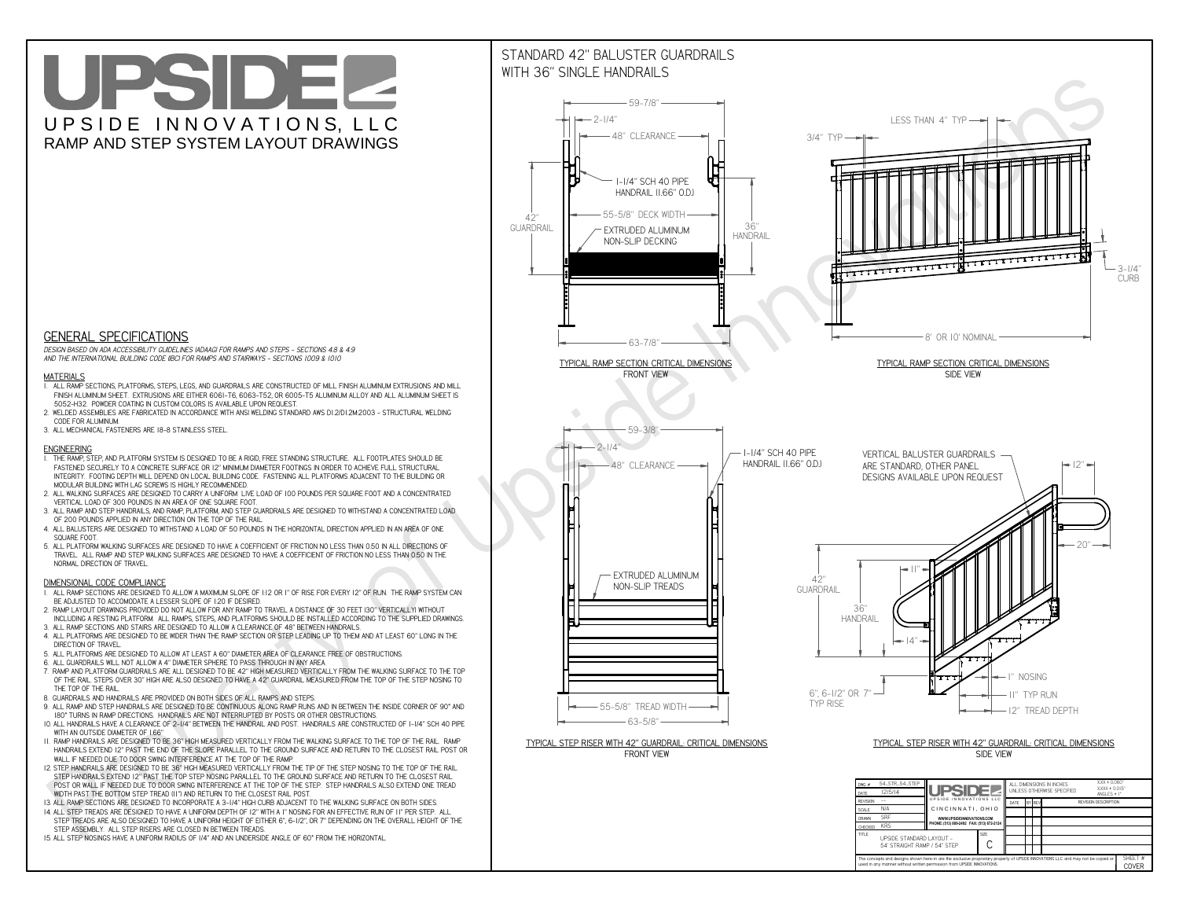**used in any manner without written permission from UPSIDE INNOVATIONS.**

# UPSIDEL UPSIDE INNOVATIONS, LLC RAMP AND STEP SYSTEM LAYOUT DRAWINGS



The concepts and designs shown here-in are the exclusive proprietary property of UPSIDE INNOVATIONS LLC. and may not be copied o

**H** 

SHEET #**COVER**

54' STRAIGHT RAMP / 54" STEP

# WITH 36" SINGLE HANDRAILS



 *DESIGN BASED ON ADA ACCESSIBILITY GUIDELINES (ADAAG) FOR RAMPS AND STEPS - SECTIONS 4.8 & 4.9AND THE INTERNATIONAL BUILDING CODE (IBC) FOR RAMPS AND STAIRWAYS - SECTIONS 1009 & 1010*

### **MATERIALS**

- **1. ALL RAMP SECTIONS, PLATFORMS, STEPS, LEGS, AND GUARDRAILS ARE CONSTRUCTED OF MILL FINISH ALUMINUM EXTRUSIONS AND MILL FINISH ALUMINUM SHEET. EXTRUSIONS ARE EITHER 6061-T6, 6063-T52, OR 6005-T5 ALUMINUM ALLOY AND ALL ALUMINUM SHEET IS 5052-H32. POWDER COATING IN CUSTOM COLORS IS AVAILABLE UPON REQUEST.**
- **2. WELDED ASSEMBLIES ARE FABRICATED IN ACCORDANCE WITH ANSI WELDING STANDARD AWS D1.2/D1.2M:2003 STRUCTURAL WELDING CODE FOR ALUMINUM.**
- **3. ALL MECHANICAL FASTENERS ARE 18-8 STAINLESS STEEL.**

#### **ENGINEERING**

- **1. THE RAMP, STEP, AND PLATFORM SYSTEM IS DESIGNED TO BE A RIGID, FREE STANDING STRUCTURE. ALL FOOTPLATES SHOULD BE FASTENED SECURELY TO A CONCRETE SURFACE OR 12" MINIMUM DIAMETER FOOTINGS IN ORDER TO ACHIEVE FULL STRUCTURAL INTEGRITY. FOOTING DEPTH WILL DEPEND ON LOCAL BUILDING CODE. FASTENING ALL PLATFORMS ADJACENT TO THE BUILDING OR MODULAR BUILDING WITH LAG SCREWS IS HIGHLY RECOMMENDED.**
- **2. ALL WALKING SURFACES ARE DESIGNED TO CARRY A UNIFORM LIVE LOAD OF 100 POUNDS PER SQUARE FOOT AND A CONCENTRATED VERTICAL LOAD OF 300 POUNDS IN AN AREA OF ONE SQUARE FOOT.**
- **3. ALL RAMP AND STEP HANDRAILS, AND RAMP, PLATFORM, AND STEP GUARDRAILS ARE DESIGNED TO WITHSTAND A CONCENTRATED LOAD OF 200 POUNDS APPLIED IN ANY DIRECTION ON THE TOP OF THE RAIL.**
- **4. ALL BALUSTERS ARE DESIGNED TO WITHSTAND A LOAD OF 50 POUNDS IN THE HORIZONTAL DIRECTION APPLIED IN AN AREA OF ONE SQUARE FOOT.**
- **5. ALL PLATFORM WALKING SURFACES ARE DESIGNED TO HAVE A COEFFICIENT OF FRICTION NO LESS THAN 0.50 IN ALL DIRECTIONS OF TRAVEL. ALL RAMP AND STEP WALKING SURFACES ARE DESIGNED TO HAVE A COEFFICIENT OF FRICTION NO LESS THAN 0.50 IN THE NORMAL DIRECTION OF TRAVEL.**

### **DIMENSIONAL CODE COMPLIANCE**

- **1. ALL RAMP SECTIONS ARE DESIGNED TO ALLOW A MAXIMUM SLOPE OF 1:12 OR 1" OF RISE FOR EVERY 12" OF RUN. THE RAMP SYSTEM CAN BE ADJUSTED TO ACCOMODATE A LESSER SLOPE OF 1:20 IF DESIRED.**
- **2. RAMP LAYOUT DRAWINGS PROVIDED DO NOT ALLOW FOR ANY RAMP TO TRAVEL A DISTANCE OF 30 FEET (30" VERTICALLY) WITHOUT INCLUDING A RESTING PLATFORM. ALL RAMPS, STEPS, AND PLATFORMS SHOULD BE INSTALLED ACCORDING TO THE SUPPLIED DRAWINGS.**
- **3. ALL RAMP SECTIONS AND STAIRS ARE DESIGNED TO ALLOW A CLEARANCE OF 48" BETWEEN HANDRAILS.**
- **4. ALL PLATFORMS ARE DESIGNED TO BE WIDER THAN THE RAMP SECTION OR STEP LEADING UP TO THEM AND AT LEAST 60" LONG IN THE DIRECTION OF TRAVEL.**
- **5. ALL PLATFORMS ARE DESIGNED TO ALLOW AT LEAST A 60" DIAMETER AREA OF CLEARANCE FREE OF OBSTRUCTIONS.**
- **6. ALL GUARDRAILS WILL NOT ALLOW A 4" DIAMETER SPHERE TO PASS THROUGH IN ANY AREA.**
- **7. RAMP AND PLATFORM GUARDRAILS ARE ALL DESIGNED TO BE 42" HIGH MEASURED VERTICALLY FROM THE WALKING SURFACE TO THE TOP OF THE RAIL. STEPS OVER 30" HIGH ARE ALSO DESIGNED TO HAVE A 42" GUARDRAIL MEASURED FROM THE TOP OF THE STEP NOSING TO THE TOP OF THE RAIL.**
- **8. GUARDRAILS AND HANDRAILS ARE PROVIDED ON BOTH SIDES OF ALL RAMPS AND STEPS.**
- **9. ALL RAMP AND STEP HANDRAILS ARE DESIGNED TO BE CONTINUOUS ALONG RAMP RUNS AND IN BETWEEN THE INSIDE CORNER OF 90° AND 180° TURNS IN RAMP DIRECTIONS. HANDRAILS ARE NOT INTERRUPTED BY POSTS OR OTHER OBSTRUCTIONS.**
- **10. ALL HANDRAILS HAVE A CLEARANCE OF 2-1/4" BETWEEN THE HANDRAIL AND POST. HANDRAILS ARE CONSTRUCTED OF 1-1/4" SCH 40 PIPE WITH AN OUTSIDE DIAMETER OF 1.66"**
- **11. RAMP HANDRAILS ARE DESIGNED TO BE 36" HIGH MEASURED VERTICALLY FROM THE WALKING SURFACE TO THE TOP OF THE RAIL. RAMP HANDRAILS EXTEND 12" PAST THE END OF THE SLOPE PARALLEL TO THE GROUND SURFACE AND RETURN TO THE CLOSEST RAIL POST OR WALL IF NEEDED DUE TO DOOR SWING INTERFERENCE AT THE TOP OF THE RAMP.**
- **12. STEP HANDRAILS ARE DESIGNED TO BE 36" HIGH MEASURED VERTICALLY FROM THE TIP OF THE STEP NOSING TO THE TOP OF THE RAIL. STEP HANDRAILS EXTEND 12" PAST THE TOP STEP NOSING PARALLEL TO THE GROUND SURFACE AND RETURN TO THE CLOSEST RAIL POST OR WALL IF NEEDED DUE TO DOOR SWING INTERFERENCE AT THE TOP OF THE STEP. STEP HANDRAILS ALSO EXTEND ONE TREAD WIDTH PAST THE BOTTOM STEP TREAD (11") AND RETURN TO THE CLOSEST RAIL POST.**
- **13. ALL RAMP SECTIONS ARE DESIGNED TO INCORPORATE A 3-1/4" HIGH CURB ADJACENT TO THE WALKING SURFACE ON BOTH SIDES.**
- **14. ALL STEP TREADS ARE DESIGNED TO HAVE A UNIFORM DEPTH OF 12" WITH A 1" NOSING FOR AN EFFECTIVE RUN OF 11" PER STEP. ALL**
- **STEP TREADS ARE ALSO DESIGNED TO HAVE A UNIFORM HEIGHT OF EITHER 6", 6-1/2", OR 7" DEPENDING ON THE OVERALL HEIGHT OF THE STEP ASSEMBLY. ALL STEP RISERS ARE CLOSED IN BETWEEN TREADS.**
- **15. ALL STEP NOSINGS HAVE A UNIFORM RADIUS OF 1/4" AND AN UNDERSIDE ANGLE OF 60° FROM THE HORIZONTAL.**